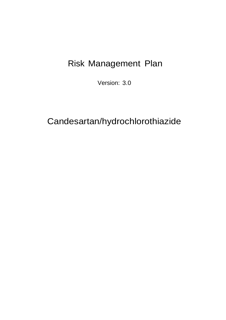# Risk Management Plan

Version: 3.0

# Candesartan/hydrochlorothiazide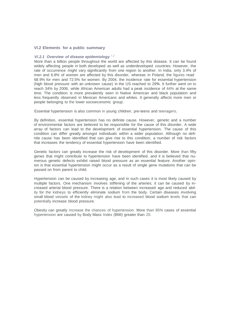#### **Vl.2 Elements for a public summary**

#### *V/.2.1 Overview of disease epidemiology <sup>1</sup> <sup>2</sup>*

More than a billion people throughout the world are affected by this disease. It can be found widely affecting people in both developed as well as underdeveloped countries. However, the rate of occurrence might vary significantly from one region to another. In India, only 3.4% of men and 6.8% of women are affected by this disorder, whereas in Poland, the figures read 68.9% for men and 72.5% for women. By 2004, the incidence rate for essential hypertension (high blood pressure with an unknown cause) in the US reached to 29%. It further went on to reach 34% by 2006, while African American adults had a peak incidence of 44% at the same time. The condition is more prevalently seen in Native American and black population and less frequently observed in Mexican Americans and whites. It generally affects more men or people belonging to the lower socioeconomic group.

Essential hypertension is also common in young children, pre-teens and teenagers.

By definition, essential hypertension has no definite cause. However, genetic and a number of environmental factors are believed to be responsible for the cause of this disorder. A wide array of factors can lead to the development of essential hypertension. The cause of this condition can differ greatly amongst individuals within a wider population. Although no definite cause has been identified that can give rise to this condition, a number of risk factors that increases the tendency of essential hypertension have been identified.

Genetic factors can greatly increase the risk of development of this disorder. More than fifty genes that might contribute to hypertension have been identified, and it is believed that numerous genetic defects exhibit raised blood pressure as an essential feature. Another opinion is that essential hypertension might occur as a result of single gene mutations that can be passed on from parent to child.

Hypertension can be caused by increasing age, and in such cases it is most likely caused by multiple factors. One mechanism involves stiffening of the arteries; it can be caused by increased arterial blood pressure. There is a relation between increased age and reduced ability for the kidneys to efficiently eliminate sodium from the body. Certain diseases involving small blood vessels of the kidney might also lead to increased blood sodium levels that can potentially increase blood pressure.

Obesity can greatly increase the chances of hypertension. More than 85% cases of essential hypertension are caused by Body Mass Index (BMI) greater than 25.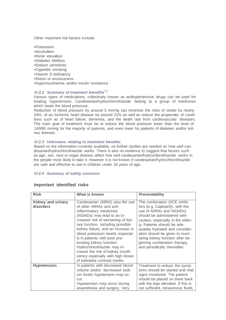Other important risk factors include:

- •Potassium
- •Alcoholism
- •Renin elevation
- •Diabetes Mellitus
- •Sodium sensitivity
- •Cigarette smoking
- •Vitamin D deficiency
- •Stress or anxiousness
- •Hyperinsulinemia and/or insulin resistance

### *V/.2.2 Summary of treatment benefits<sup>3</sup> <sup>4</sup>*

Various types of medications, collectively known as antihypertensive drugs can be used for treating hypertension. Candesartan/hydrochlorothiazide belong to a group of medicines which lower the blood pressure.

Reduction of blood pressure by around 5 mmHg can minimize the risks of stroke by nearly 34%, of an ischemic heart disease by around 21% as well as reduce the propensity of conditions such as of heart failure, dementia, and the death rate from cardiovascular diseases. The main goal of treatment must be to reduce the blood pressure lower than the level of 140/90 mmHg for the majority of patients, and even lower for patients of diabetes and/or kidney disease.

#### *V/.2.3 Unknowns relating to treatment benefits*

Based on the information currently available, no further studies are needed on how well candesartan/hydrochlorothiazide works. There is also no evidence to suggest that factors such as age, sex, race or organ disease affect how well candesartan/hydrochlorothiazide works in the people most likely to take it. However it is not known if candesartan/hydrochlorothiazide are safe and effective to use in children under 18 years of age.

#### *V/.2.4 Summary of safety concerns*

| <b>Risk</b>                     | What is known                                                                                                                                                                                                                                                                                                                                                                                                                                                                      | <b>Preventability</b>                                                                                                                                                                                                                                                                                                                                                    |
|---------------------------------|------------------------------------------------------------------------------------------------------------------------------------------------------------------------------------------------------------------------------------------------------------------------------------------------------------------------------------------------------------------------------------------------------------------------------------------------------------------------------------|--------------------------------------------------------------------------------------------------------------------------------------------------------------------------------------------------------------------------------------------------------------------------------------------------------------------------------------------------------------------------|
| Kidney and urinary<br>disorders | Candesartan (AllRA) plus the use<br>of other AllRAs and anti-<br>inflammatory medicines<br>(NSAIDs) may lead to an in-<br>creased risk of worsening of kid-<br>ney function, including possible<br>kidney failure, and an increase in<br>blood potassium levels, especial-<br>ly in patients with poor pre-<br>existing kidney function.<br>Hydrochlorothiazide may in-<br>crease the risk of kidney insuffi-<br>ciency especially with high doses<br>of iodinated contrast media. | The combination (ACE inhibi-<br>tors (e.g. Captopril)), with the<br>use of AIIRAs and NSAIDs)<br>should be administered with<br>caution, especially in the elder-<br>ly. Patients should be ade-<br>quately hydrated and consider-<br>ation should be given to moni-<br>taring kidney function after be-<br>ginning combination therapy,<br>and periodically thereafter. |
| <b>Hypotension</b>              | In patients with decreased blood<br>volume and/or decreased sodi-<br>um levels hypotension may oc-<br>cur.<br>Hypotension may occur during<br>anaesthesia and surgery. Very                                                                                                                                                                                                                                                                                                        | Treatment to reduce the symp-<br>toms should be started and vital<br>signs monitored. The patient<br>should be placed on there back<br>with the legs elevated. If this is<br>not sufficient, intravenous fluids                                                                                                                                                          |

### **Important identified risks**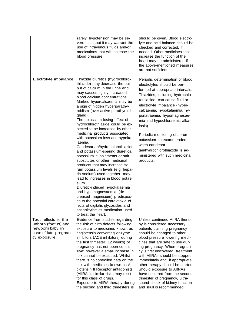|                                                                                                        | rarely, hypotension may be se-<br>vere such that it may warrant the<br>use of intravenous fluids and/or<br>medications that will increase the<br>blood pressure.                                                                                                                                                                                                                                                                                                                                                                                                                                                                                                                                                                                                                                                                                                                                                                                                                                                     | should be given. Blood electro-<br>lyte and acid balance should be<br>checked and corrected, if<br>needed. Other medicines that<br>increase the function of the<br>heart may be administered if<br>the above-mentioned measures<br>are not sufficient.                                                                                                                                                                                                                                                                                     |
|--------------------------------------------------------------------------------------------------------|----------------------------------------------------------------------------------------------------------------------------------------------------------------------------------------------------------------------------------------------------------------------------------------------------------------------------------------------------------------------------------------------------------------------------------------------------------------------------------------------------------------------------------------------------------------------------------------------------------------------------------------------------------------------------------------------------------------------------------------------------------------------------------------------------------------------------------------------------------------------------------------------------------------------------------------------------------------------------------------------------------------------|--------------------------------------------------------------------------------------------------------------------------------------------------------------------------------------------------------------------------------------------------------------------------------------------------------------------------------------------------------------------------------------------------------------------------------------------------------------------------------------------------------------------------------------------|
| Electrolyte imbalance                                                                                  | Thiazide diuretics (hydrochloro-<br>thiazide) may decrease the out-<br>put of calcium in the urine and<br>may causes lightly increased<br>blood calcium concentrations.<br>Marked hypercalcaemia may be<br>a sign of hidden hyperparathy-<br>roidism (over active parathyroid<br>gland).<br>The potassium losing effect of<br>hydrochlorothiazide could be ex-<br>pected to be increased by other<br>medicinal products associated<br>with potassium loss and hypoka-<br>laemia.<br>Candesartan/hydrochlorothiazide<br>and potassium-sparing diuretics,<br>potassium supplements or salt<br>substitutes or other medicinal<br>products that may increase se-<br>rum potassium levels (e.g. hepa-<br>rin sodium) used together, may<br>lead to increases in blood potas-<br>sium.<br>Diuretic-induced hypokalaemia<br>and hypomagnesaemia (de-<br>creased magnesium) predispos-<br>es to the potential cardiotoxic ef-<br>fects of digitalis glycosides and<br>antiarrhythmics medication used<br>to treat the heart. | Periodic determination of blood<br>electrolytes should be per-<br>formed at appropriate intervals.<br>Thiazides, including hydrochlo-<br>rothiazide, can cause fluid or<br>electrolyte imbalance (hyper-<br>calcaemia, hypokalaemia, hy-<br>ponatraemia, hypomagnesae-<br>mia and hypochloraemic alka-<br>losis).<br>Periodic monitoring of serum<br>potassium is recommended<br>when candesar-<br>tan/hydrochlorothiazide is ad-<br>ministered with such medicinal<br>products.                                                           |
| Toxic effects to the<br>unborn (foetus) and<br>newborn baby in<br>case of late pregnan-<br>cy exposure | Evidence from studies regarding<br>the risk of birth defects following<br>exposure to medicines known as<br>angiotensin converting enzyme<br>inhibitors (ACE inhibitors) during<br>the first trimester (12 weeks) of<br>pregnancy has not been conclu-<br>sive; however a small increase in<br>risk cannot be excluded. Whilst<br>there is no controlled data on the<br>risk with medicines known as An-<br>giotensin II Receptor antagonists<br>(AIIRAs), similar risks may exist<br>for this class of drugs.<br>Exposure to AIIRA therapy during<br>the second and third trimesters is                                                                                                                                                                                                                                                                                                                                                                                                                             | Unless continued AIIRA thera-<br>py is considered necessary,<br>patients planning pregnancy<br>should be changed to other<br>blood pressure lowering medi-<br>cines that are safe to use dur-<br>ing pregnancy. When pregnan-<br>cy is first discovered, treatment<br>with AIIRAs should be stopped<br>immediately and, if appropriate,<br>other therapy should be started.<br>Should exposure to AIIRAs<br>have occurred from the second<br>trimester of pregnancy, ultra-<br>sound check of kidney function<br>and skull is recommended. |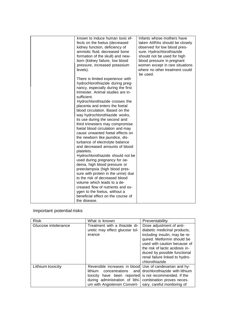| known to induce human toxic ef-<br>fects on the foetus (decreased<br>kidney function, deficiency of<br>amniotic fluid, decreased bone<br>formation of the skull) and new-<br>born (kidney failure, low blood<br>pressure, increased potassium<br>levels).                                                                                                                                                                                                                                                                                                                                                                                                                                                                                                                                                                  | Infants whose mothers have<br>taken AIIRAs should be closely<br>observed for low blood pres-<br>sure. Hydrochlorothiazide<br>should not be used for high<br>blood pressure in pregnant<br>women except in rare situations<br>where no other treatment could |
|----------------------------------------------------------------------------------------------------------------------------------------------------------------------------------------------------------------------------------------------------------------------------------------------------------------------------------------------------------------------------------------------------------------------------------------------------------------------------------------------------------------------------------------------------------------------------------------------------------------------------------------------------------------------------------------------------------------------------------------------------------------------------------------------------------------------------|-------------------------------------------------------------------------------------------------------------------------------------------------------------------------------------------------------------------------------------------------------------|
| There is limited experience with<br>hydrochlorothiazide during preg-<br>nancy, especially during the first<br>trimester. Animal studies are in-<br>sufficient.<br>Hydrochlorothiazide crosses the<br>placenta and enters the foetal<br>blood circulation. Based on the<br>way hydrochlorothiazide works,<br>its use during the second and<br>third trimesters may compromise<br>foetal blood circulation and may<br>cause unwanted foetal effects on<br>the newborn like jaundice, dis-<br>turbance of electrolyte balance<br>and decreased amounts of blood<br>platelets.<br>Hydrochlorothiazide should not be<br>used during pregnancy for oe-<br>dema, high blood pressure or<br>preeclampsia (high blood pres-<br>sure with protein in the urine) due<br>to the risk of decreased blood<br>volume which leads to a de- | be used.                                                                                                                                                                                                                                                    |
| creased flow of nutrients and ox-<br>ygen to the foetus, without a<br>beneficial effect on the course of<br>the disease.                                                                                                                                                                                                                                                                                                                                                                                                                                                                                                                                                                                                                                                                                                   |                                                                                                                                                                                                                                                             |

# Important potential risks

| <b>Risk</b>         | What is known                                                                                                                                                                                                                                | Preventability                                                                                                                                                                                                                                                                  |
|---------------------|----------------------------------------------------------------------------------------------------------------------------------------------------------------------------------------------------------------------------------------------|---------------------------------------------------------------------------------------------------------------------------------------------------------------------------------------------------------------------------------------------------------------------------------|
| Glucose intolerance | Treatment with a thiazide di-<br>uretic may effect glucose tol-<br>erance                                                                                                                                                                    | Dose adjustment of anti-<br>diabetic medicinal products,<br>including insulin, may be re-<br>quired. Metformin should be<br>used with caution because of<br>the risk of lactic acidosis in-<br>duced by possible functional<br>renal failure linked to hydro-<br>chlorothiazide |
| Lithium toxicity    | Reversible increases in blood Use of candesartan and hy-<br>lithium<br>concentrations<br>toxicity have been reported is not recommended. If the<br>during administration of lithi- combination proves neces-<br>um with Angiotensin Convert- | and drochlorothiazide with lithium<br>sary, careful monitoring of                                                                                                                                                                                                               |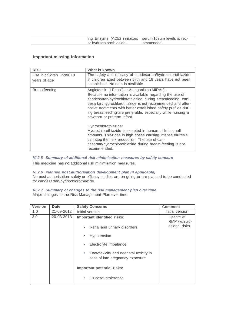|                         | ing Enzyme (ACE) inhibitors serum lithium levels is rec- |
|-------------------------|----------------------------------------------------------|
| or hydrochlorothiazide. | ommended.                                                |
|                         |                                                          |

# **Important missing information**

| <b>Risk</b>                              | What is known                                                                                                                                                                                                                                                                                                                                                                                           |
|------------------------------------------|---------------------------------------------------------------------------------------------------------------------------------------------------------------------------------------------------------------------------------------------------------------------------------------------------------------------------------------------------------------------------------------------------------|
| Use in children under 18<br>years of age | The safety and efficacy of candesartan/hydrochlorothiazide<br>in children aged between birth and 18 years have not been<br>established. No data is available.                                                                                                                                                                                                                                           |
| <b>Breastfeeding</b>                     | Angiotensin II Rece(;)tor Antagonists (AIIRAs):<br>Because no information is available regarding the use of<br>candesartan/hydrochlorothiazide during breastfeeding, can-<br>desartan/hydrochlorothiazide is not recommended and alter-<br>native treatments with better established safety profiles dur-<br>ing breastfeeding are preferable, especially while nursing a<br>newborn or preterm infant. |
|                                          | Hydrochlorothiazide:<br>Hydrochlorothiazide is excreted in human milk in small<br>amounts. Thiazides in high doses causing intense diuresis<br>can stop the milk production. The use of can-<br>desartan/hydrochlorothiazide during breast-feeding is not<br>recommended.                                                                                                                               |

*Vl.2.5 Summary of additional risk minimisation measures by safety concern* This medicine has no additional risk minimisation measures.

## *Vl.2.6 Planned post authorisation development plan (if applicable)*

No post-authorisation safety or efficacy studies are on-going or are planned to be conducted for candesartan/hydrochlorothiazide.

#### *Vl.2.***7** *Summary of changes to the risk management plan over time* Major changes to the Risk Management Plan over time

| <b>Version</b> | Date       | <b>Safety Concerns</b>                                                                 | <b>Comment</b>            |
|----------------|------------|----------------------------------------------------------------------------------------|---------------------------|
| 1.0            | 21-09-2012 | Initial version                                                                        | Initial version           |
| 2.0            | 20-03-2013 | Important identified risks:                                                            | Update of<br>RMP with ad- |
|                |            | Renal and urinary disorders<br>$\blacksquare$                                          | ditional risks.           |
|                |            | Hypotension<br>ш                                                                       |                           |
|                |            | Electrolyte imbalance<br>ш                                                             |                           |
|                |            | Foetotoxicity and neonatal toxicity in<br>$\bullet$<br>case of late pregnancy exposure |                           |
|                |            | Important potential risks:                                                             |                           |
|                |            | Glucose intolerance<br>п                                                               |                           |